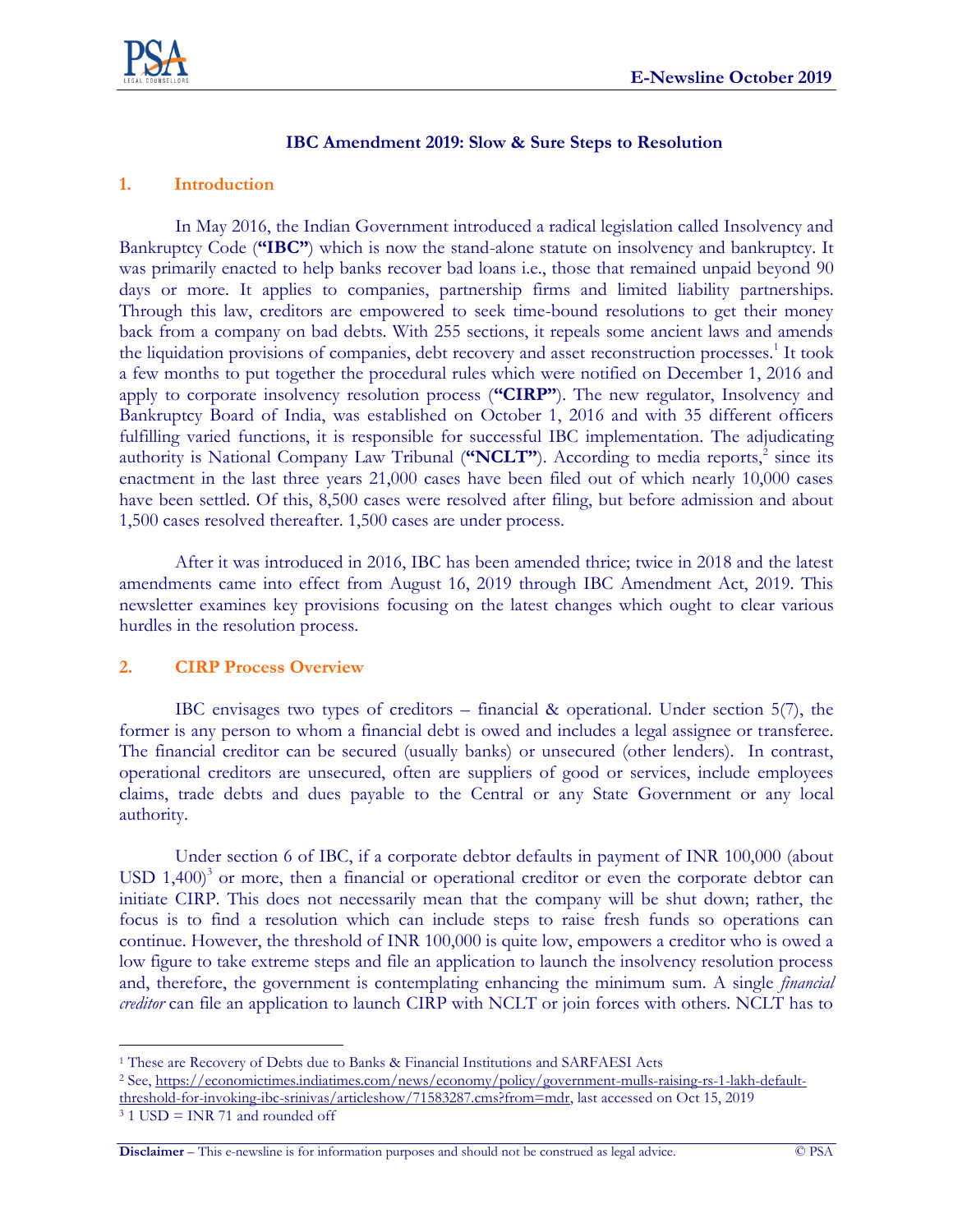

### **IBC Amendment 2019: Slow & Sure Steps to Resolution**

#### **1. Introduction**

In May 2016, the Indian Government introduced a radical legislation called Insolvency and Bankruptcy Code (**"IBC"**) which is now the stand-alone statute on insolvency and bankruptcy. It was primarily enacted to help banks recover bad loans i.e., those that remained unpaid beyond 90 days or more. It applies to companies, partnership firms and limited liability partnerships. Through this law, creditors are empowered to seek time-bound resolutions to get their money back from a company on bad debts. With 255 sections, it repeals some ancient laws and amends the liquidation provisions of companies, debt recovery and asset reconstruction processes.<sup>1</sup> It took a few months to put together the procedural rules which were notified on December 1, 2016 and apply to corporate insolvency resolution process (**"CIRP"**). The new regulator, Insolvency and Bankruptcy Board of India, was established on October 1, 2016 and with 35 different officers fulfilling varied functions, it is responsible for successful IBC implementation. The adjudicating authority is National Company Law Tribunal ("NCLT"). According to media reports,<sup>2</sup> since its enactment in the last three years 21,000 cases have been filed out of which nearly 10,000 cases have been settled. Of this, 8,500 cases were resolved after filing, but before admission and about 1,500 cases resolved thereafter. 1,500 cases are under process.

After it was introduced in 2016, IBC has been amended thrice; twice in 2018 and the latest amendments came into effect from August 16, 2019 through IBC Amendment Act, 2019. This newsletter examines key provisions focusing on the latest changes which ought to clear various hurdles in the resolution process.

#### **2. CIRP Process Overview**

IBC envisages two types of creditors – financial & operational. Under section 5(7), the former is any person to whom a financial debt is owed and includes a legal assignee or transferee. The financial creditor can be secured (usually banks) or unsecured (other lenders). In contrast, operational creditors are unsecured, often are suppliers of good or services, include employees claims, trade debts and dues payable to the Central or any State Government or any local authority.

Under section 6 of IBC, if a corporate debtor defaults in payment of INR 100,000 (about USD  $1,400$ <sup>3</sup> or more, then a financial or operational creditor or even the corporate debtor can initiate CIRP. This does not necessarily mean that the company will be shut down; rather, the focus is to find a resolution which can include steps to raise fresh funds so operations can continue. However, the threshold of INR 100,000 is quite low, empowers a creditor who is owed a low figure to take extreme steps and file an application to launch the insolvency resolution process and, therefore, the government is contemplating enhancing the minimum sum. A single *financial creditor* can file an application to launch CIRP with NCLT or join forces with others. NCLT has to

 $\overline{a}$ <sup>1</sup> These are Recovery of Debts due to Banks & Financial Institutions and SARFAESI Acts

<sup>2</sup> See, [https://economictimes.indiatimes.com/news/economy/policy/government-mulls-raising-rs-1-lakh-default](https://economictimes.indiatimes.com/news/economy/policy/government-mulls-raising-rs-1-lakh-default-threshold-for-invoking-ibc-srinivas/articleshow/71583287.cms?from=mdr)[threshold-for-invoking-ibc-srinivas/articleshow/71583287.cms?from=mdr,](https://economictimes.indiatimes.com/news/economy/policy/government-mulls-raising-rs-1-lakh-default-threshold-for-invoking-ibc-srinivas/articleshow/71583287.cms?from=mdr) last accessed on Oct 15, 2019

 $3.1$  USD = INR 71 and rounded off

**Disclaimer** – This e-newsline is for information purposes and should not be construed as legal advice. © PSA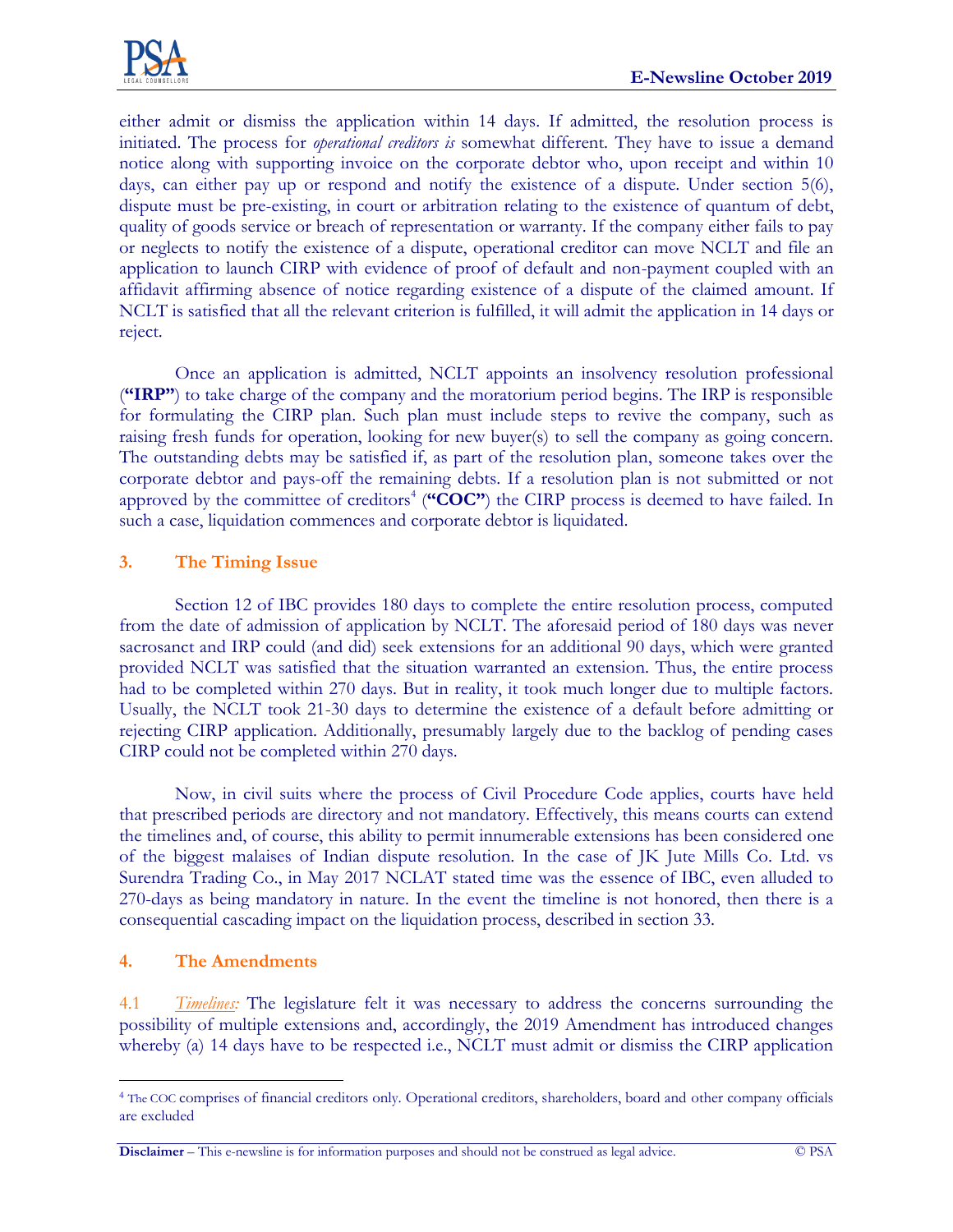

either admit or dismiss the application within 14 days. If admitted, the resolution process is initiated. The process for *operational creditors is* somewhat different. They have to issue a demand notice along with supporting invoice on the corporate debtor who, upon receipt and within 10 days, can either pay up or respond and notify the existence of a dispute. Under section 5(6), dispute must be pre-existing, in court or arbitration relating to the existence of quantum of debt, quality of goods service or breach of representation or warranty. If the company either fails to pay or neglects to notify the existence of a dispute, operational creditor can move NCLT and file an application to launch CIRP with evidence of proof of default and non-payment coupled with an affidavit affirming absence of notice regarding existence of a dispute of the claimed amount. If NCLT is satisfied that all the relevant criterion is fulfilled, it will admit the application in 14 days or reject.

Once an application is admitted, NCLT appoints an insolvency resolution professional (**"IRP"**) to take charge of the company and the moratorium period begins. The IRP is responsible for formulating the CIRP plan. Such plan must include steps to revive the company, such as raising fresh funds for operation, looking for new buyer(s) to sell the company as going concern. The outstanding debts may be satisfied if, as part of the resolution plan, someone takes over the corporate debtor and pays-off the remaining debts. If a resolution plan is not submitted or not approved by the committee of creditors<sup>4</sup> ("COC") the CIRP process is deemed to have failed. In such a case, liquidation commences and corporate debtor is liquidated.

## **3. The Timing Issue**

Section 12 of IBC provides 180 days to complete the entire resolution process, computed from the date of admission of application by NCLT. The aforesaid period of 180 days was never sacrosanct and IRP could (and did) seek extensions for an additional 90 days, which were granted provided NCLT was satisfied that the situation warranted an extension. Thus, the entire process had to be completed within 270 days. But in reality, it took much longer due to multiple factors. Usually, the NCLT took 21-30 days to determine the existence of a default before admitting or rejecting CIRP application. Additionally, presumably largely due to the backlog of pending cases CIRP could not be completed within 270 days.

Now, in civil suits where the process of Civil Procedure Code applies, courts have held that prescribed periods are directory and not mandatory. Effectively, this means courts can extend the timelines and, of course, this ability to permit innumerable extensions has been considered one of the biggest malaises of Indian dispute resolution. In the case of JK Jute Mills Co. Ltd. vs Surendra Trading Co., in May 2017 NCLAT stated time was the essence of IBC, even alluded to 270-days as being mandatory in nature. In the event the timeline is not honored, then there is a consequential cascading impact on the liquidation process, described in section 33.

# **4. The Amendments**

4.1 *Timelines:* The legislature felt it was necessary to address the concerns surrounding the possibility of multiple extensions and, accordingly, the 2019 Amendment has introduced changes whereby (a) 14 days have to be respected i.e., NCLT must admit or dismiss the CIRP application

 $\overline{a}$ <sup>4</sup> The COC comprises of financial creditors only. Operational creditors, shareholders, board and other company officials are excluded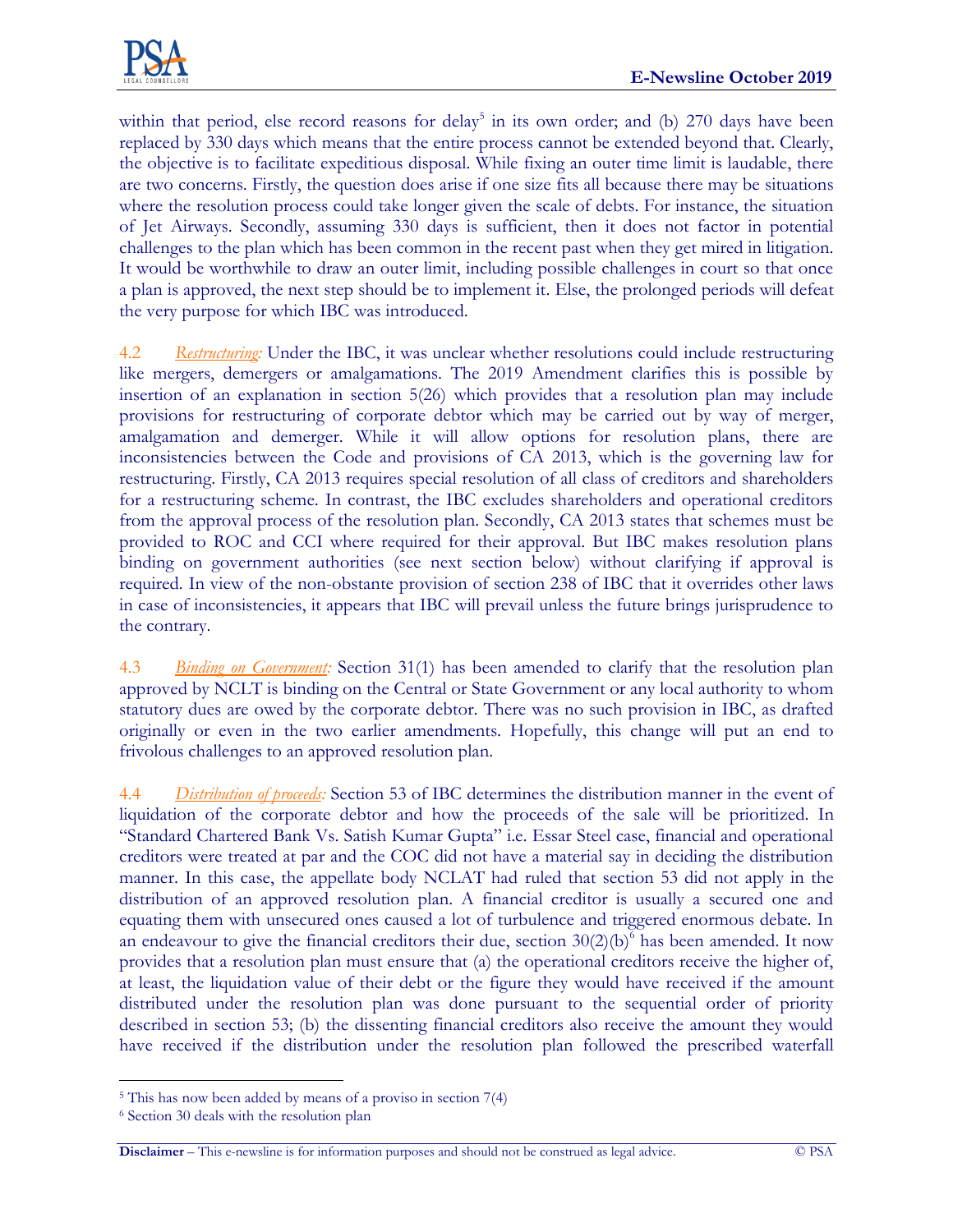

within that period, else record reasons for delay<sup>5</sup> in its own order; and (b) 270 days have been replaced by 330 days which means that the entire process cannot be extended beyond that. Clearly, the objective is to facilitate expeditious disposal. While fixing an outer time limit is laudable, there are two concerns. Firstly, the question does arise if one size fits all because there may be situations where the resolution process could take longer given the scale of debts. For instance, the situation of Jet Airways. Secondly, assuming 330 days is sufficient, then it does not factor in potential challenges to the plan which has been common in the recent past when they get mired in litigation. It would be worthwhile to draw an outer limit, including possible challenges in court so that once a plan is approved, the next step should be to implement it. Else, the prolonged periods will defeat the very purpose for which IBC was introduced.

4.2 *Restructuring:* Under the IBC, it was unclear whether resolutions could include restructuring like mergers, demergers or amalgamations. The 2019 Amendment clarifies this is possible by insertion of an explanation in section 5(26) which provides that a resolution plan may include provisions for restructuring of corporate debtor which may be carried out by way of merger, amalgamation and demerger. While it will allow options for resolution plans, there are inconsistencies between the Code and provisions of CA 2013, which is the governing law for restructuring. Firstly, CA 2013 requires special resolution of all class of creditors and shareholders for a restructuring scheme. In contrast, the IBC excludes shareholders and operational creditors from the approval process of the resolution plan. Secondly, CA 2013 states that schemes must be provided to ROC and CCI where required for their approval. But IBC makes resolution plans binding on government authorities (see next section below) without clarifying if approval is required. In view of the non-obstante provision of section 238 of IBC that it overrides other laws in case of inconsistencies, it appears that IBC will prevail unless the future brings jurisprudence to the contrary.

4.3 *Binding on Government:* Section 31(1) has been amended to clarify that the resolution plan approved by NCLT is binding on the Central or State Government or any local authority to whom statutory dues are owed by the corporate debtor. There was no such provision in IBC, as drafted originally or even in the two earlier amendments. Hopefully, this change will put an end to frivolous challenges to an approved resolution plan.

4.4 *Distribution of proceeds:* Section 53 of IBC determines the distribution manner in the event of liquidation of the corporate debtor and how the proceeds of the sale will be prioritized. In "Standard Chartered Bank Vs. Satish Kumar Gupta" i.e. Essar Steel case, financial and operational creditors were treated at par and the COC did not have a material say in deciding the distribution manner. In this case, the appellate body NCLAT had ruled that section 53 did not apply in the distribution of an approved resolution plan. A financial creditor is usually a secured one and equating them with unsecured ones caused a lot of turbulence and triggered enormous debate. In an endeavour to give the financial creditors their due, section  $30(2)(b)^6$  has been amended. It now provides that a resolution plan must ensure that (a) the operational creditors receive the higher of, at least, the liquidation value of their debt or the figure they would have received if the amount distributed under the resolution plan was done pursuant to the sequential order of priority described in section 53; (b) the dissenting financial creditors also receive the amount they would have received if the distribution under the resolution plan followed the prescribed waterfall

 $\overline{a}$ 

<sup>5</sup> This has now been added by means of a proviso in section 7(4)

<sup>6</sup> Section 30 deals with the resolution plan

**Disclaimer** – This e-newsline is for information purposes and should not be construed as legal advice. © PSA